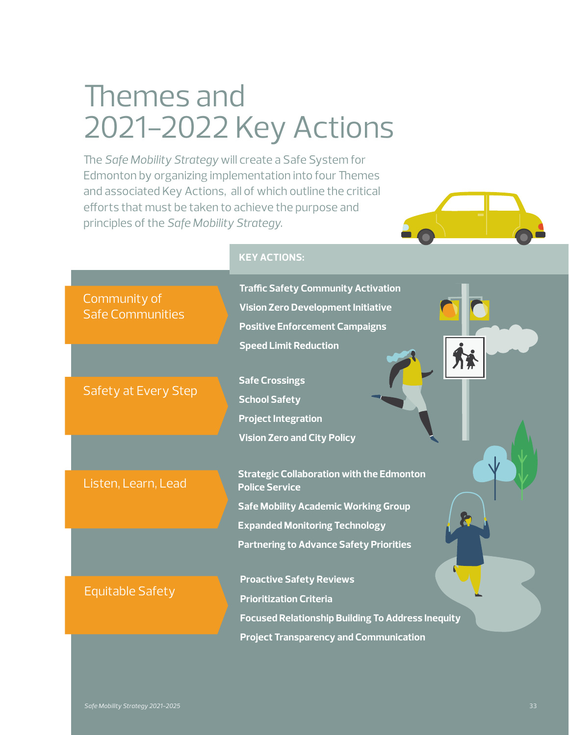# Themes and 2021-2022 Key Actions

The *Safe Mobility Strategy* will create a Safe System for Edmonton by organizing implementation into four Themes and associated Key Actions, all of which outline the critical efforts that must be taken to achieve the purpose and principles of the *Safe Mobility Strategy*.

**KEY ACTIONS:**



| <b>Traffic Safety Community Activation</b><br><b>Vision Zero Development Initiative</b><br><b>Positive Enforcement Campaigns</b>                                                                                                 |
|----------------------------------------------------------------------------------------------------------------------------------------------------------------------------------------------------------------------------------|
| <b>Speed Limit Reduction</b><br><b>Safe Crossings</b><br><b>School Safety</b><br><b>Project Integration</b>                                                                                                                      |
| <b>Vision Zero and City Policy</b><br><b>Strategic Collaboration with the Edmonton</b><br><b>Police Service</b><br><b>Safe Mobility Academic Working Group</b><br><b>Expanded Monitoring Technology</b>                          |
| <b>Partnering to Advance Safety Priorities</b><br><b>Proactive Safety Reviews</b><br><b>Prioritization Criteria</b><br><b>Focused Relationship Building To Address Inequity</b><br><b>Project Transparency and Communication</b> |
|                                                                                                                                                                                                                                  |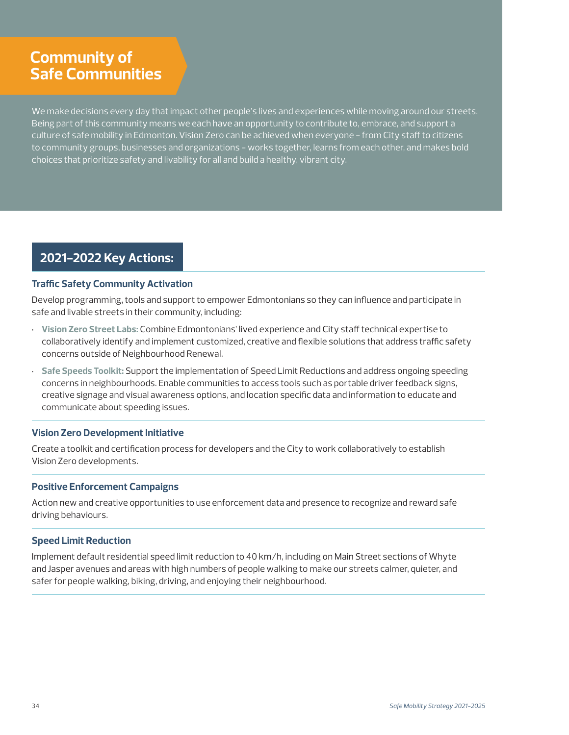# **Community of Safe Communities**

We make decisions every day that impact other people's lives and experiences while moving around our streets. Being part of this community means we each have an opportunity to contribute to, embrace, and support a culture of safe mobility in Edmonton. Vision Zero can be achieved when everyone - from City staff to citizens to community groups, businesses and organizations - works together, learns from each other, and makes bold choices that prioritize safety and livability for all and build a healthy, vibrant city.

### **2021-2022 Key Actions:**

### **Traffic Safety Community Activation**

Develop programming, tools and support to empower Edmontonians so they can influence and participate in safe and livable streets in their community, including:

- **Vision Zero Street Labs:** Combine Edmontonians' lived experience and City staff technical expertise to collaboratively identify and implement customized, creative and flexible solutions that address traffic safety concerns outside of Neighbourhood Renewal.
- **Safe Speeds Toolkit:** Support the implementation of Speed Limit Reductions and address ongoing speeding concerns in neighbourhoods. Enable communities to access tools such as portable driver feedback signs, creative signage and visual awareness options, and location specific data and information to educate and communicate about speeding issues.

### **Vision Zero Development Initiative**

Create a toolkit and certification process for developers and the City to work collaboratively to establish Vision Zero developments.

### **Positive Enforcement Campaigns**

Action new and creative opportunities to use enforcement data and presence to recognize and reward safe driving behaviours.

### **Speed Limit Reduction**

Implement default residential speed limit reduction to 40 km/h, including on Main Street sections of Whyte and Jasper avenues and areas with high numbers of people walking to make our streets calmer, quieter, and safer for people walking, biking, driving, and enjoying their neighbourhood.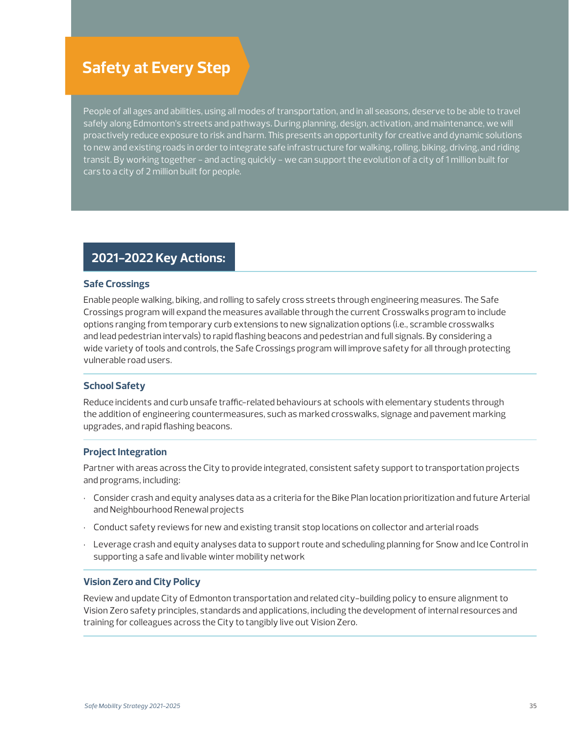## **Safety at Every Step**

People of all ages and abilities, using all modes of transportation, and in all seasons, deserve to be able to travel safely along Edmonton's streets and pathways. During planning, design, activation, and maintenance, we will proactively reduce exposure to risk and harm. This presents an opportunity for creative and dynamic solutions to new and existing roads in order to integrate safe infrastructure for walking, rolling, biking, driving, and riding transit. By working together - and acting quickly - we can support the evolution of a city of 1 million built for cars to a city of 2 million built for people.

### **2021-2022 Key Actions:**

#### **Safe Crossings**

Enable people walking, biking, and rolling to safely cross streets through engineering measures. The Safe Crossings program will expand the measures available through the current Crosswalks program to include options ranging from temporary curb extensions to new signalization options (i.e., scramble crosswalks and lead pedestrian intervals) to rapid flashing beacons and pedestrian and full signals. By considering a wide variety of tools and controls, the Safe Crossings program will improve safety for all through protecting vulnerable road users.

### **School Safety**

Reduce incidents and curb unsafe traffic-related behaviours at schools with elementary students through the addition of engineering countermeasures, such as marked crosswalks, signage and pavement marking upgrades, and rapid flashing beacons.

#### **Project Integration**

Partner with areas across the City to provide integrated, consistent safety support to transportation projects and programs, including:

- Consider crash and equity analyses data as a criteria for the Bike Plan location prioritization and future Arterial and Neighbourhood Renewal projects
- Conduct safety reviews for new and existing transit stop locations on collector and arterial roads
- Leverage crash and equity analyses data to support route and scheduling planning for Snow and Ice Control in supporting a safe and livable winter mobility network

### **Vision Zero and City Policy**

Review and update City of Edmonton transportation and related city-building policy to ensure alignment to Vision Zero safety principles, standards and applications, including the development of internal resources and training for colleagues across the City to tangibly live out Vision Zero.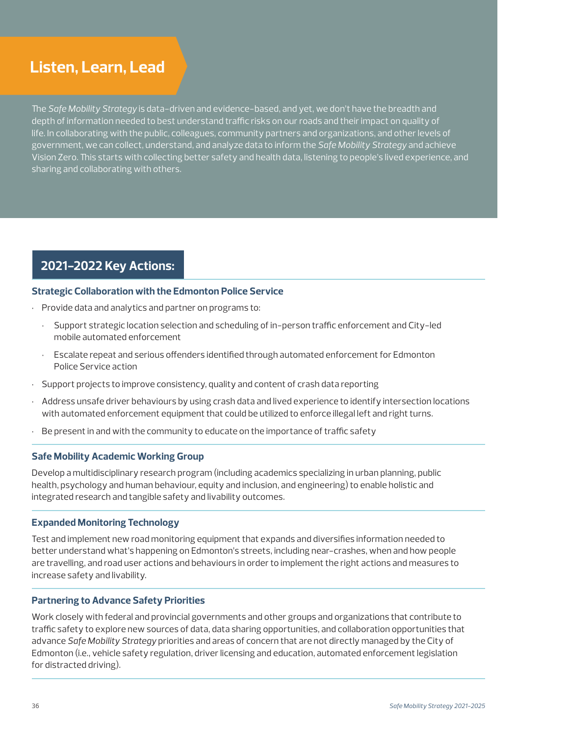# **Listen, Learn, Lead**

The *Safe Mobility Strategy* is data-driven and evidence-based, and yet, we don't have the breadth and depth of information needed to best understand traffic risks on our roads and their impact on quality of life. In collaborating with the public, colleagues, community partners and organizations, and other levels of government, we can collect, understand, and analyze data to inform the *Safe Mobility Strategy* and achieve Vision Zero. This starts with collecting better safety and health data, listening to people's lived experience, and sharing and collaborating with others.

### **2021-2022 Key Actions:**

### **Strategic Collaboration with the Edmonton Police Service**

- Provide data and analytics and partner on programs to:
	- Support strategic location selection and scheduling of in-person traffic enforcement and City-led mobile automated enforcement
	- Escalate repeat and serious offenders identified through automated enforcement for Edmonton Police Service action
- Support projects to improve consistency, quality and content of crash data reporting
- Address unsafe driver behaviours by using crash data and lived experience to identify intersection locations with automated enforcement equipment that could be utilized to enforce illegal left and right turns.
- Be present in and with the community to educate on the importance of traffic safety

### **Safe Mobility Academic Working Group**

Develop a multidisciplinary research program (including academics specializing in urban planning, public health, psychology and human behaviour, equity and inclusion, and engineering) to enable holistic and integrated research and tangible safety and livability outcomes.

### **Expanded Monitoring Technology**

Test and implement new road monitoring equipment that expands and diversifies information needed to better understand what's happening on Edmonton's streets, including near-crashes, when and how people are travelling, and road user actions and behaviours in order to implement the right actions and measures to increase safety and livability.

### **Partnering to Advance Safety Priorities**

Work closely with federal and provincial governments and other groups and organizations that contribute to traffic safety to explore new sources of data, data sharing opportunities, and collaboration opportunities that advance *Safe Mobility Strategy* priorities and areas of concern that are not directly managed by the City of Edmonton (i.e., vehicle safety regulation, driver licensing and education, automated enforcement legislation for distracted driving).